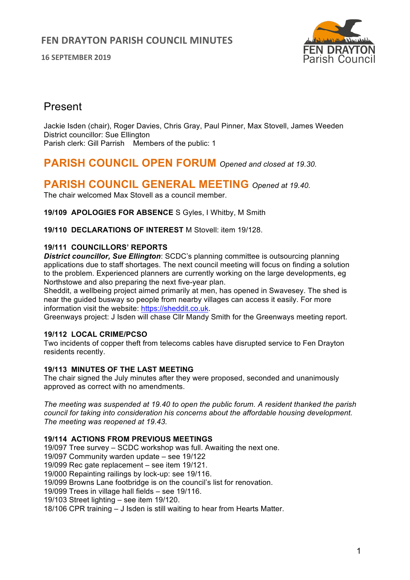

# Present

Jackie Isden (chair), Roger Davies, Chris Gray, Paul Pinner, Max Stovell, James Weeden District councillor: Sue Ellington Parish clerk: Gill Parrish Members of the public: 1

# **PARISH COUNCIL OPEN FORUM** *Opened and closed at 19.30.*

# **PARISH COUNCIL GENERAL MEETING** *Opened at 19.40.*

The chair welcomed Max Stovell as a council member.

**19/109 APOLOGIES FOR ABSENCE** S Gyles, I Whitby, M Smith

**19/110 DECLARATIONS OF INTEREST** M Stovell: item 19/128.

## **19/111 COUNCILLORS' REPORTS**

*District councillor, Sue Ellington*: SCDC's planning committee is outsourcing planning applications due to staff shortages. The next council meeting will focus on finding a solution to the problem. Experienced planners are currently working on the large developments, eg Northstowe and also preparing the next five-year plan.

Sheddit, a wellbeing project aimed primarily at men, has opened in Swavesey. The shed is near the guided busway so people from nearby villages can access it easily. For more information visit the website: https://sheddit.co.uk.

Greenways project: J Isden will chase Cllr Mandy Smith for the Greenways meeting report.

### **19/112 LOCAL CRIME/PCSO**

Two incidents of copper theft from telecoms cables have disrupted service to Fen Drayton residents recently.

### **19/113 MINUTES OF THE LAST MEETING**

The chair signed the July minutes after they were proposed, seconded and unanimously approved as correct with no amendments.

*The meeting was suspended at 19.40 to open the public forum. A resident thanked the parish council for taking into consideration his concerns about the affordable housing development. The meeting was reopened at 19.43.*

## **19/114 ACTIONS FROM PREVIOUS MEETINGS**

19/097 Tree survey – SCDC workshop was full. Awaiting the next one. 19/097 Community warden update – see 19/122 19/099 Rec gate replacement – see item 19/121. 19/000 Repainting railings by lock-up: see 19/116. 19/099 Browns Lane footbridge is on the council's list for renovation. 19/099 Trees in village hall fields – see 19/116. 19/103 Street lighting – see item 19/120. 18/106 CPR training – J Isden is still waiting to hear from Hearts Matter.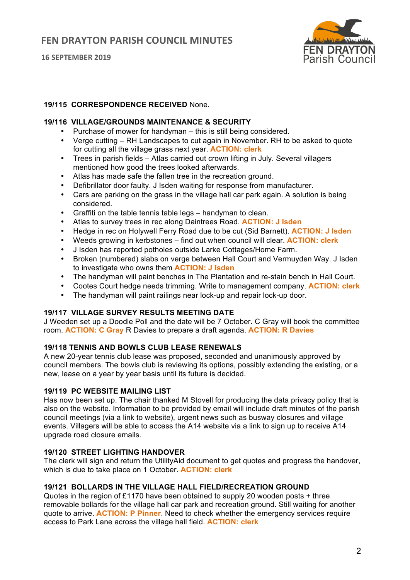

## **19/115 CORRESPONDENCE RECEIVED** None.

### **19/116 VILLAGE/GROUNDS MAINTENANCE & SECURITY**

- Purchase of mower for handyman this is still being considered.
- Verge cutting RH Landscapes to cut again in November. RH to be asked to quote for cutting all the village grass next year. **ACTION: clerk**
- Trees in parish fields Atlas carried out crown lifting in July. Several villagers mentioned how good the trees looked afterwards.
- Atlas has made safe the fallen tree in the recreation ground.
- Defibrillator door faulty. J Isden waiting for response from manufacturer.
- Cars are parking on the grass in the village hall car park again. A solution is being considered.
- Graffiti on the table tennis table legs handyman to clean.
- Atlas to survey trees in rec along Daintrees Road. **ACTION: J Isden**
- Hedge in rec on Holywell Ferry Road due to be cut (Sid Barnett). **ACTION: J Isden**
- Weeds growing in kerbstones find out when council will clear. **ACTION: clerk**
- J Isden has reported potholes outside Larke Cottages/Home Farm.
- Broken (numbered) slabs on verge between Hall Court and Vermuyden Way. J Isden to investigate who owns them **ACTION: J Isden**
- The handyman will paint benches in The Plantation and re-stain bench in Hall Court.
- Cootes Court hedge needs trimming. Write to management company. **ACTION: clerk**
- The handyman will paint railings near lock-up and repair lock-up door.

## **19/117 VILLAGE SURVEY RESULTS MEETING DATE**

J Weeden set up a Doodle Poll and the date will be 7 October. C Gray will book the committee room. **ACTION: C Gray** R Davies to prepare a draft agenda. **ACTION: R Davies**

### **19/118 TENNIS AND BOWLS CLUB LEASE RENEWALS**

A new 20-year tennis club lease was proposed, seconded and unanimously approved by council members. The bowls club is reviewing its options, possibly extending the existing, or a new, lease on a year by year basis until its future is decided.

#### **19/119 PC WEBSITE MAILING LIST**

Has now been set up. The chair thanked M Stovell for producing the data privacy policy that is also on the website. Information to be provided by email will include draft minutes of the parish council meetings (via a link to website), urgent news such as busway closures and village events. Villagers will be able to access the A14 website via a link to sign up to receive A14 upgrade road closure emails.

## **19/120 STREET LIGHTING HANDOVER**

The clerk will sign and return the UtilityAid document to get quotes and progress the handover, which is due to take place on 1 October. **ACTION: clerk**

## **19/121 BOLLARDS IN THE VILLAGE HALL FIELD/RECREATION GROUND**

Quotes in the region of £1170 have been obtained to supply 20 wooden posts + three removable bollards for the village hall car park and recreation ground. Still waiting for another quote to arrive. **ACTION: P Pinner**. Need to check whether the emergency services require access to Park Lane across the village hall field. **ACTION: clerk**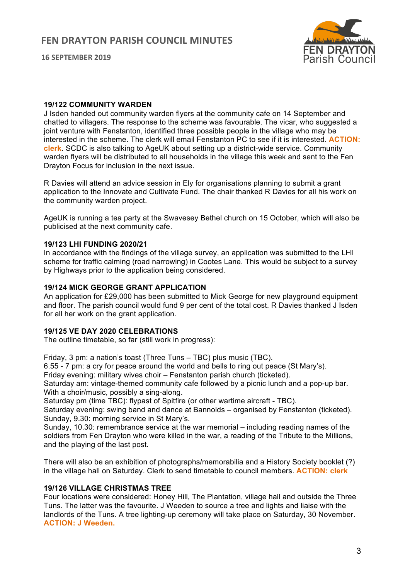

#### **19/122 COMMUNITY WARDEN**

J Isden handed out community warden flyers at the community cafe on 14 September and chatted to villagers. The response to the scheme was favourable. The vicar, who suggested a joint venture with Fenstanton, identified three possible people in the village who may be interested in the scheme. The clerk will email Fenstanton PC to see if it is interested. **ACTION: clerk**. SCDC is also talking to AgeUK about setting up a district-wide service. Community warden flyers will be distributed to all households in the village this week and sent to the Fen Drayton Focus for inclusion in the next issue.

R Davies will attend an advice session in Ely for organisations planning to submit a grant application to the Innovate and Cultivate Fund. The chair thanked R Davies for all his work on the community warden project.

AgeUK is running a tea party at the Swavesey Bethel church on 15 October, which will also be publicised at the next community cafe.

#### **19/123 LHI FUNDING 2020/21**

In accordance with the findings of the village survey, an application was submitted to the LHI scheme for traffic calming (road narrowing) in Cootes Lane. This would be subject to a survey by Highways prior to the application being considered.

#### **19/124 MICK GEORGE GRANT APPLICATION**

An application for £29,000 has been submitted to Mick George for new playground equipment and floor. The parish council would fund 9 per cent of the total cost. R Davies thanked J Isden for all her work on the grant application.

#### **19/125 VE DAY 2020 CELEBRATIONS**

The outline timetable, so far (still work in progress):

Friday, 3 pm: a nation's toast (Three Tuns – TBC) plus music (TBC).

6.55 - 7 pm: a cry for peace around the world and bells to ring out peace (St Mary's).

Friday evening: military wives choir – Fenstanton parish church (ticketed).

Saturday am: vintage-themed community cafe followed by a picnic lunch and a pop-up bar. With a choir/music, possibly a sing-along.

Saturday pm (time TBC): flypast of Spitfire (or other wartime aircraft - TBC).

Saturday evening: swing band and dance at Bannolds – organised by Fenstanton (ticketed). Sunday, 9.30: morning service in St Mary's.

Sunday, 10.30: remembrance service at the war memorial – including reading names of the soldiers from Fen Drayton who were killed in the war, a reading of the Tribute to the Millions, and the playing of the last post.

There will also be an exhibition of photographs/memorabilia and a History Society booklet (?) in the village hall on Saturday. Clerk to send timetable to council members. **ACTION: clerk**

## **19/126 VILLAGE CHRISTMAS TREE**

Four locations were considered: Honey Hill, The Plantation, village hall and outside the Three Tuns. The latter was the favourite. J Weeden to source a tree and lights and liaise with the landlords of the Tuns. A tree lighting-up ceremony will take place on Saturday, 30 November. **ACTION: J Weeden.**